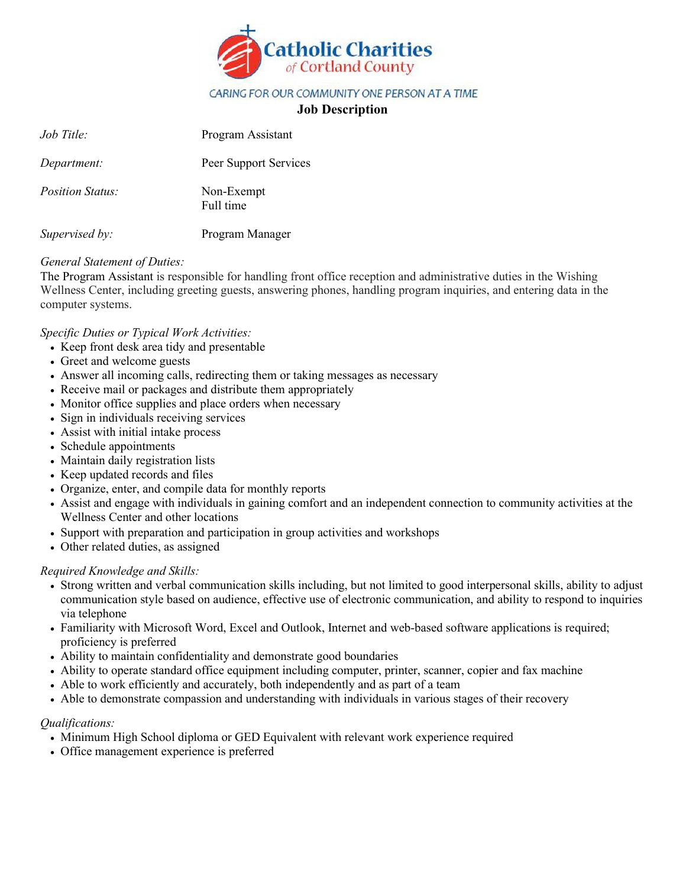

## CARING FOR OUR COMMUNITY ONE PERSON AT A TIME

# **Job Description**

| Job Title:              | Program Assistant       |
|-------------------------|-------------------------|
| Department:             | Peer Support Services   |
| <i>Position Status:</i> | Non-Exempt<br>Full time |
| Supervised by:          | Program Manager         |

## *General Statement of Duties:*

The Program Assistant is responsible for handling front office reception and administrative duties in the Wishing Wellness Center, including greeting guests, answering phones, handling program inquiries, and entering data in the computer systems.

## *Specific Duties or Typical Work Activities:*

- Keep front desk area tidy and presentable
- Greet and welcome guests
- Answer all incoming calls, redirecting them or taking messages as necessary
- Receive mail or packages and distribute them appropriately
- Monitor office supplies and place orders when necessary
- Sign in individuals receiving services
- Assist with initial intake process
- Schedule appointments
- Maintain daily registration lists
- Keep updated records and files
- Organize, enter, and compile data for monthly reports
- Assist and engage with individuals in gaining comfort and an independent connection to community activities at the Wellness Center and other locations
- Support with preparation and participation in group activities and workshops
- Other related duties, as assigned

## *Required Knowledge and Skills:*

- Strong written and verbal communication skills including, but not limited to good interpersonal skills, ability to adjust communication style based on audience, effective use of electronic communication, and ability to respond to inquiries via telephone
- Familiarity with Microsoft Word, Excel and Outlook, Internet and web-based software applications is required; proficiency is preferred
- Ability to maintain confidentiality and demonstrate good boundaries
- Ability to operate standard office equipment including computer, printer, scanner, copier and fax machine
- Able to work efficiently and accurately, both independently and as part of a team
- Able to demonstrate compassion and understanding with individuals in various stages of their recovery

#### *Qualifications:*

- Minimum High School diploma or GED Equivalent with relevant work experience required
- Office management experience is preferred